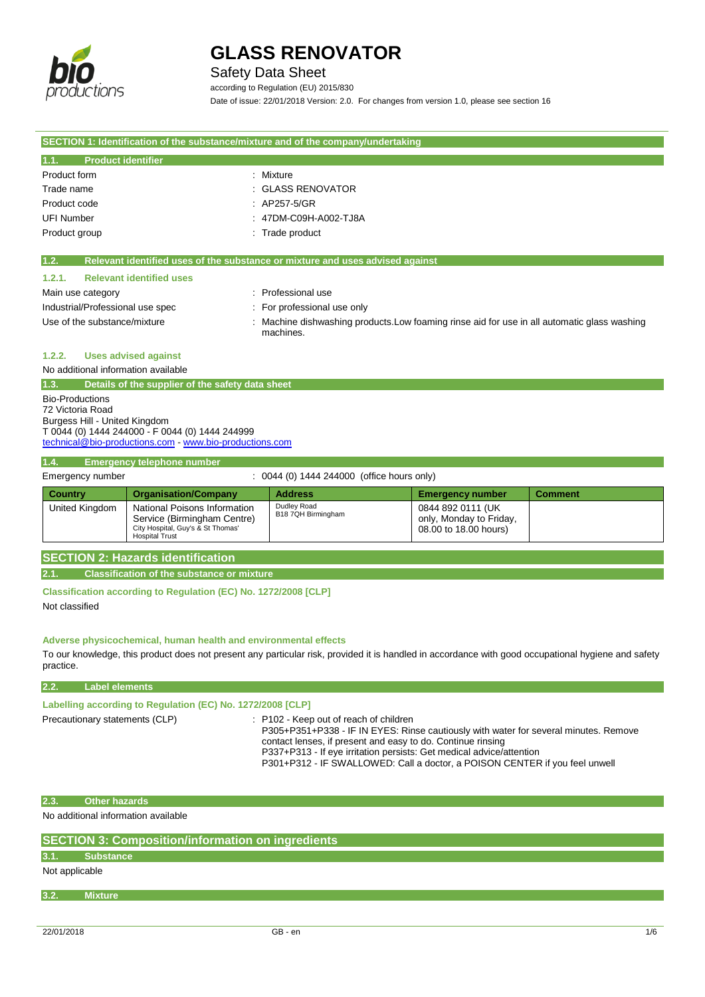

### Safety Data Sheet

according to Regulation (EU) 2015/830 Date of issue: 22/01/2018 Version: 2.0. For changes from version 1.0, please see section 16

| SECTION 1: Identification of the substance/mixture and of the company/undertaking |                                                                                                         |  |
|-----------------------------------------------------------------------------------|---------------------------------------------------------------------------------------------------------|--|
| 1.1.<br><b>Product identifier</b>                                                 |                                                                                                         |  |
|                                                                                   |                                                                                                         |  |
| Product form                                                                      | : Mixture                                                                                               |  |
| Trade name                                                                        | : GLASS RENOVATOR                                                                                       |  |
| Product code                                                                      | : AP257-5/GR                                                                                            |  |
| <b>UFI Number</b>                                                                 | : 47DM-C09H-A002-TJ8A                                                                                   |  |
| Product group                                                                     | : Trade product                                                                                         |  |
|                                                                                   |                                                                                                         |  |
| 1.2.                                                                              | Relevant identified uses of the substance or mixture and uses advised against                           |  |
| <b>Relevant identified uses</b><br>1.2.1.                                         |                                                                                                         |  |
| Main use category                                                                 | : Professional use                                                                                      |  |
| Industrial/Professional use spec                                                  | : For professional use only                                                                             |  |
| Use of the substance/mixture                                                      | Machine dishwashing products. Low foaming rinse aid for use in all automatic glass washing<br>machines. |  |
| <b>Uses advised against</b><br>1.2.2.                                             |                                                                                                         |  |
| No additional information available                                               |                                                                                                         |  |
| 1.3.<br>Details of the supplier of the safety data sheet                          |                                                                                                         |  |
| <b>Bio-Productions</b><br>72 Victoria Road                                        |                                                                                                         |  |

72 Victoria Road Burgess Hill - United Kingdom T 0044 (0) 1444 244000 - F 0044 (0) 1444 244999 [technical@bio-productions.com](mailto:technical@bio-productions.com) - [www.bio-productions.com](file:///C:/Users/lab/AppData/Local/Temp/www.bio-productions.com)

### **1.4. Emergency telephone number**

| Emergency number |                                                                                                                    | $: 0044$ (0) 1444 244000 (office hours only) |                                                                       |                |
|------------------|--------------------------------------------------------------------------------------------------------------------|----------------------------------------------|-----------------------------------------------------------------------|----------------|
| <b>Country</b>   | <b>Organisation/Company</b>                                                                                        | <b>Address</b>                               | <b>Emergency number</b>                                               | <b>Comment</b> |
| United Kingdom   | National Poisons Information<br>Service (Birmingham Centre)<br>City Hospital, Guy's & St Thomas'<br>Hospital Trust | Dudley Road<br>B18 7QH Birmingham            | 0844 892 0111 (UK<br>only, Monday to Friday,<br>08.00 to 18.00 hours) |                |

### **SECTION 2: Hazards identification**

**2.1. Classification of the substance or mixture**

**Classification according to Regulation (EC) No. 1272/2008 [CLP]** Not classified

**Adverse physicochemical, human health and environmental effects**

To our knowledge, this product does not present any particular risk, provided it is handled in accordance with good occupational hygiene and safety practice.

### **2.2. Label elements**

| Labelling according to Regulation (EC) No. 1272/2008 [CLP] |  |
|------------------------------------------------------------|--|
|------------------------------------------------------------|--|

Precautionary statements (CLP) : P102 - Keep out of reach of children

P305+P351+P338 - IF IN EYES: Rinse cautiously with water for several minutes. Remove contact lenses, if present and easy to do. Continue rinsing

P337+P313 - If eye irritation persists: Get medical advice/attention P301+P312 - IF SWALLOWED: Call a doctor, a POISON CENTER if you feel unwell

**2.3. Other hazards**

No additional information available

| <b>SECTION 3: Composition/information on ingredients</b> |                |  |  |  |
|----------------------------------------------------------|----------------|--|--|--|
| 3.1.                                                     | Substance      |  |  |  |
| Not applicable                                           |                |  |  |  |
| 3.2.                                                     | <b>Mixture</b> |  |  |  |
|                                                          |                |  |  |  |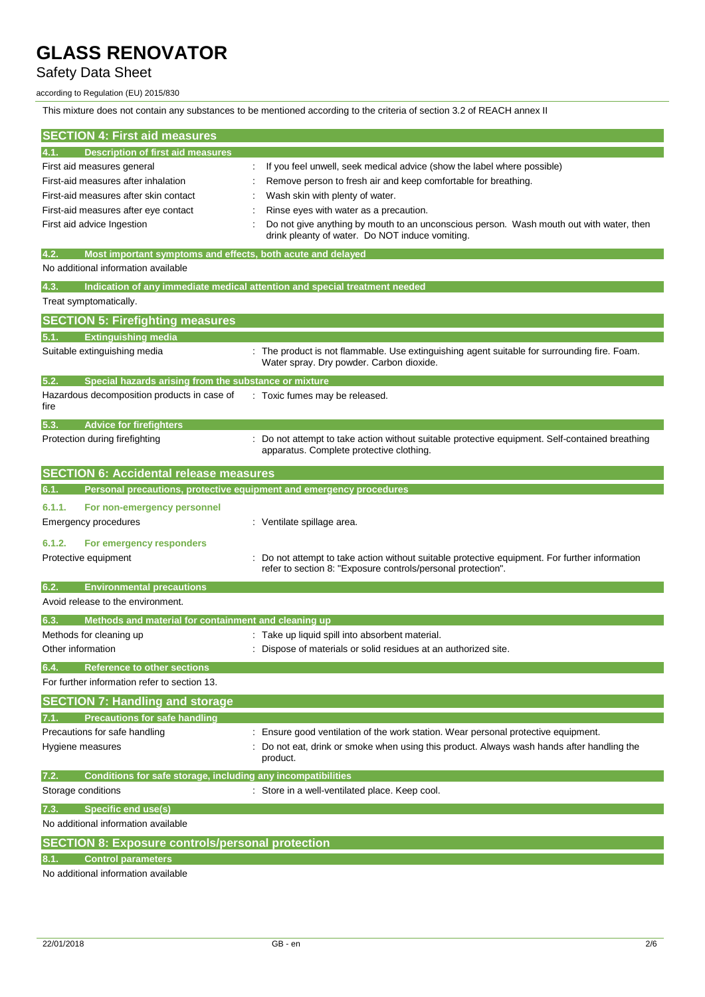### Safety Data Sheet

#### according to Regulation (EU) 2015/830

This mixture does not contain any substances to be mentioned according to the criteria of section 3.2 of REACH annex II

| <b>SECTION 4: First aid measures</b>                                        |                                                                                                                                                              |
|-----------------------------------------------------------------------------|--------------------------------------------------------------------------------------------------------------------------------------------------------------|
| <b>Description of first aid measures</b><br>4.1.                            |                                                                                                                                                              |
| First aid measures general                                                  | If you feel unwell, seek medical advice (show the label where possible)                                                                                      |
| First-aid measures after inhalation                                         | Remove person to fresh air and keep comfortable for breathing.                                                                                               |
| First-aid measures after skin contact                                       | Wash skin with plenty of water.                                                                                                                              |
| First-aid measures after eye contact                                        | Rinse eyes with water as a precaution.                                                                                                                       |
| First aid advice Ingestion                                                  | Do not give anything by mouth to an unconscious person. Wash mouth out with water, then<br>drink pleanty of water. Do NOT induce vomiting.                   |
| 4.2.<br>Most important symptoms and effects, both acute and delayed         |                                                                                                                                                              |
| No additional information available                                         |                                                                                                                                                              |
| 4.3.                                                                        | Indication of any immediate medical attention and special treatment needed                                                                                   |
| Treat symptomatically.                                                      |                                                                                                                                                              |
| <b>SECTION 5: Firefighting measures</b>                                     |                                                                                                                                                              |
| <b>Extinguishing media</b><br>5.1.                                          |                                                                                                                                                              |
| Suitable extinguishing media                                                | The product is not flammable. Use extinguishing agent suitable for surrounding fire. Foam.<br>Water spray. Dry powder. Carbon dioxide.                       |
| 5.2.<br>Special hazards arising from the substance or mixture               |                                                                                                                                                              |
| Hazardous decomposition products in case of<br>fire                         | : Toxic fumes may be released.                                                                                                                               |
| 5.3.<br><b>Advice for firefighters</b>                                      |                                                                                                                                                              |
| Protection during firefighting                                              | : Do not attempt to take action without suitable protective equipment. Self-contained breathing<br>apparatus. Complete protective clothing.                  |
| <b>SECTION 6: Accidental release measures</b>                               |                                                                                                                                                              |
| Personal precautions, protective equipment and emergency procedures<br>6.1. |                                                                                                                                                              |
| 6.1.1.<br>For non-emergency personnel                                       |                                                                                                                                                              |
| <b>Emergency procedures</b>                                                 | : Ventilate spillage area.                                                                                                                                   |
| 6.1.2.<br>For emergency responders                                          |                                                                                                                                                              |
| Protective equipment                                                        | Do not attempt to take action without suitable protective equipment. For further information<br>refer to section 8: "Exposure controls/personal protection". |
| 6.2.<br><b>Environmental precautions</b>                                    |                                                                                                                                                              |
| Avoid release to the environment.                                           |                                                                                                                                                              |
| 6.3.<br>Methods and material for containment and cleaning up                |                                                                                                                                                              |
| Methods for cleaning up                                                     | : Take up liquid spill into absorbent material.                                                                                                              |
| Other information                                                           | Dispose of materials or solid residues at an authorized site.                                                                                                |
| <b>Reference to other sections</b><br>6.4.                                  |                                                                                                                                                              |
| For further information refer to section 13.                                |                                                                                                                                                              |
| <b>SECTION 7: Handling and storage</b>                                      |                                                                                                                                                              |
| <b>Precautions for safe handling</b><br>7.1.                                |                                                                                                                                                              |
| Precautions for safe handling                                               | Ensure good ventilation of the work station. Wear personal protective equipment.                                                                             |
| Hygiene measures                                                            | Do not eat, drink or smoke when using this product. Always wash hands after handling the<br>product.                                                         |
| Conditions for safe storage, including any incompatibilities<br>7.2.        |                                                                                                                                                              |
| Storage conditions                                                          | : Store in a well-ventilated place. Keep cool.                                                                                                               |
| <b>Specific end use(s)</b><br>7.3.                                          |                                                                                                                                                              |
| No additional information available                                         |                                                                                                                                                              |
| <b>SECTION 8: Exposure controls/personal protection</b>                     |                                                                                                                                                              |
| <b>Control parameters</b>                                                   |                                                                                                                                                              |
| No additional information available                                         |                                                                                                                                                              |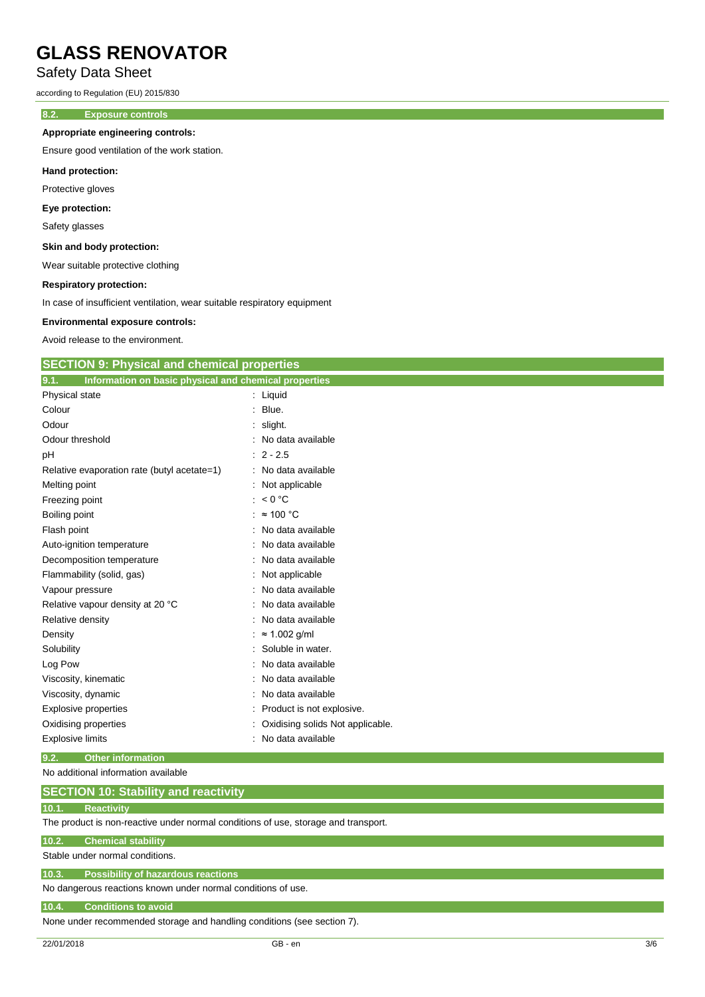### Safety Data Sheet

according to Regulation (EU) 2015/830

### **8.2. Exposure controls**

### **Appropriate engineering controls:**

Ensure good ventilation of the work station.

### **Hand protection:**

Protective gloves

### **Eye protection:**

Safety glasses

#### **Skin and body protection:**

Wear suitable protective clothing

#### **Respiratory protection:**

In case of insufficient ventilation, wear suitable respiratory equipment

#### **Environmental exposure controls:**

Avoid release to the environment.

| <b>SECTION 9: Physical and chemical properties</b> |  |
|----------------------------------------------------|--|
|----------------------------------------------------|--|

| 9.1.<br>Information on basic physical and chemical properties |                                  |
|---------------------------------------------------------------|----------------------------------|
| Physical state                                                | $:$ Liquid                       |
| Colour                                                        | Blue.                            |
| Odour                                                         | slight.                          |
| Odour threshold                                               | No data available                |
| рH                                                            | $: 2 - 2.5$                      |
| Relative evaporation rate (butyl acetate=1)                   | : No data available              |
| Melting point                                                 | Not applicable                   |
| Freezing point                                                | : $< 0$ °C                       |
| Boiling point                                                 | : $\approx 100$ °C               |
| Flash point                                                   | No data available                |
| Auto-ignition temperature                                     | No data available                |
| Decomposition temperature                                     | No data available                |
| Flammability (solid, gas)                                     | Not applicable                   |
| Vapour pressure                                               | No data available                |
| Relative vapour density at 20 °C                              | No data available                |
| Relative density                                              | No data available                |
| Density                                                       | $\approx$ 1.002 g/ml             |
| Solubility                                                    | Soluble in water.                |
| Log Pow                                                       | No data available                |
| Viscosity, kinematic                                          | No data available                |
| Viscosity, dynamic                                            | No data available                |
| Explosive properties                                          | Product is not explosive.        |
| Oxidising properties                                          | Oxidising solids Not applicable. |
| <b>Explosive limits</b>                                       | No data available                |

### **9.2. Other information**

No additional information available

| <b>SECTION 10: Stability and reactivity</b> |
|---------------------------------------------|
|---------------------------------------------|

#### **10.1. Reactivity**

The product is non-reactive under normal conditions of use, storage and transport.

#### **10.2. Chemical stability**

Stable under normal conditions.

### **10.3. Possibility of hazardous reactions**

No dangerous reactions known under normal conditions of use.

#### **10.4. Conditions to avoid**

None under recommended storage and handling conditions (see section 7).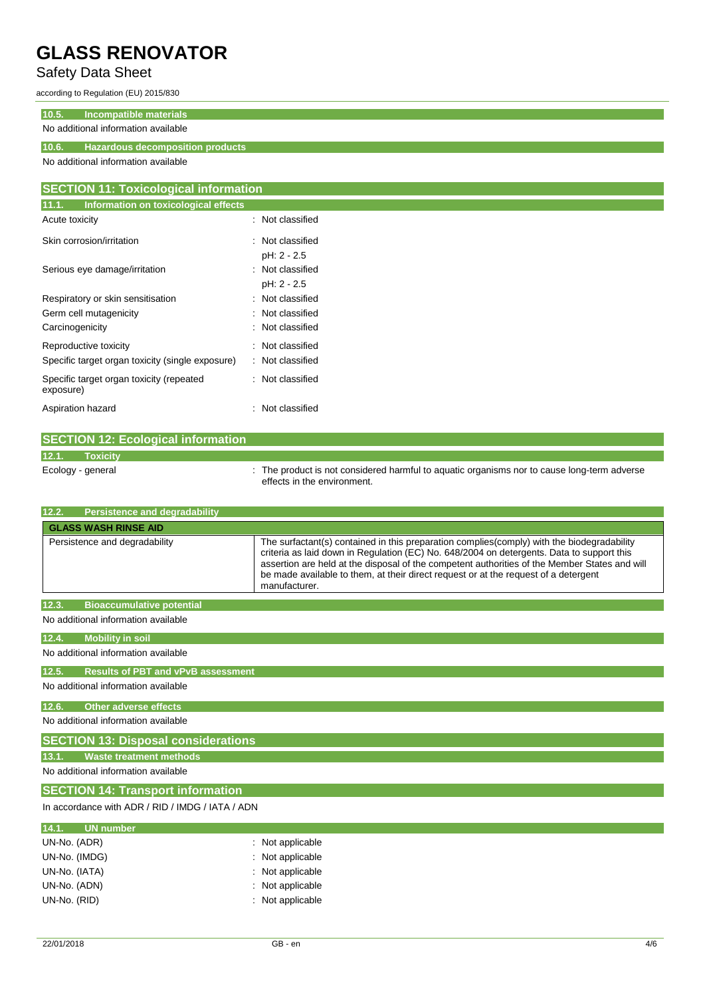### Safety Data Sheet

according to Regulation (EU) 2015/830

| 10.5.<br>Incompatible materials              |                                         |  |  |
|----------------------------------------------|-----------------------------------------|--|--|
|                                              | No additional information available     |  |  |
| 10.6.                                        | <b>Hazardous decomposition products</b> |  |  |
| No additional information available          |                                         |  |  |
|                                              |                                         |  |  |
| <b>SECTION 11: Toxicological information</b> |                                         |  |  |
| 11.1.                                        | Information on toxicological effects    |  |  |
| Acute toxicity                               | : Not classified                        |  |  |

| Skin corrosion/irritation                             | : Not classified |
|-------------------------------------------------------|------------------|
|                                                       | pH: 2 - 2.5      |
| Serious eye damage/irritation                         | : Not classified |
|                                                       | pH: 2 - 2.5      |
| Respiratory or skin sensitisation                     | : Not classified |
| Germ cell mutagenicity                                | : Not classified |
| Carcinogenicity                                       | : Not classified |
| Reproductive toxicity                                 | : Not classified |
| Specific target organ toxicity (single exposure)      | : Not classified |
| Specific target organ toxicity (repeated<br>exposure) | : Not classified |
| Aspiration hazard                                     | : Not classified |

|       | <b>SECTION 12: Ecological information</b> |  |                                                                                                                            |  |
|-------|-------------------------------------------|--|----------------------------------------------------------------------------------------------------------------------------|--|
| 12.1. | <b>Toxicity</b>                           |  |                                                                                                                            |  |
|       | Ecology - general                         |  | : The product is not considered harmful to aquatic organisms nor to cause long-term adverse<br>effects in the environment. |  |

| <b>Persistence and degradability</b><br>12.2.      |                                                                                                                                                                                                                                                                                                                                                                                                  |  |  |  |  |
|----------------------------------------------------|--------------------------------------------------------------------------------------------------------------------------------------------------------------------------------------------------------------------------------------------------------------------------------------------------------------------------------------------------------------------------------------------------|--|--|--|--|
| <b>GLASS WASH RINSE AID</b>                        |                                                                                                                                                                                                                                                                                                                                                                                                  |  |  |  |  |
| Persistence and degradability                      | The surfactant(s) contained in this preparation complies(comply) with the biodegradability<br>criteria as laid down in Regulation (EC) No. 648/2004 on detergents. Data to support this<br>assertion are held at the disposal of the competent authorities of the Member States and will<br>be made available to them, at their direct request or at the request of a detergent<br>manufacturer. |  |  |  |  |
| <b>Bioaccumulative potential</b><br>12.3.          |                                                                                                                                                                                                                                                                                                                                                                                                  |  |  |  |  |
| No additional information available                |                                                                                                                                                                                                                                                                                                                                                                                                  |  |  |  |  |
| 12.4.<br><b>Mobility in soil</b>                   |                                                                                                                                                                                                                                                                                                                                                                                                  |  |  |  |  |
| No additional information available                |                                                                                                                                                                                                                                                                                                                                                                                                  |  |  |  |  |
| <b>Results of PBT and vPvB assessment</b><br>12.5. |                                                                                                                                                                                                                                                                                                                                                                                                  |  |  |  |  |
| No additional information available                |                                                                                                                                                                                                                                                                                                                                                                                                  |  |  |  |  |
| 12.6.<br><b>Other adverse effects</b>              |                                                                                                                                                                                                                                                                                                                                                                                                  |  |  |  |  |
| No additional information available                |                                                                                                                                                                                                                                                                                                                                                                                                  |  |  |  |  |
| <b>SECTION 13: Disposal considerations</b>         |                                                                                                                                                                                                                                                                                                                                                                                                  |  |  |  |  |
| Waste treatment methods<br>13.1.                   |                                                                                                                                                                                                                                                                                                                                                                                                  |  |  |  |  |
| No additional information available                |                                                                                                                                                                                                                                                                                                                                                                                                  |  |  |  |  |
| <b>SECTION 14: Transport information</b>           |                                                                                                                                                                                                                                                                                                                                                                                                  |  |  |  |  |
| In accordance with ADR / RID / IMDG / IATA / ADN   |                                                                                                                                                                                                                                                                                                                                                                                                  |  |  |  |  |
| <b>UN number</b><br>14.1.                          |                                                                                                                                                                                                                                                                                                                                                                                                  |  |  |  |  |
| UN-No. (ADR)                                       | : Not applicable                                                                                                                                                                                                                                                                                                                                                                                 |  |  |  |  |
| UN-No. (IMDG)                                      | Not applicable                                                                                                                                                                                                                                                                                                                                                                                   |  |  |  |  |
| UN-No. (IATA)                                      | Not applicable                                                                                                                                                                                                                                                                                                                                                                                   |  |  |  |  |
| UN-No. (ADN)<br>: Not applicable                   |                                                                                                                                                                                                                                                                                                                                                                                                  |  |  |  |  |
| Not applicable<br>UN-No. (RID)                     |                                                                                                                                                                                                                                                                                                                                                                                                  |  |  |  |  |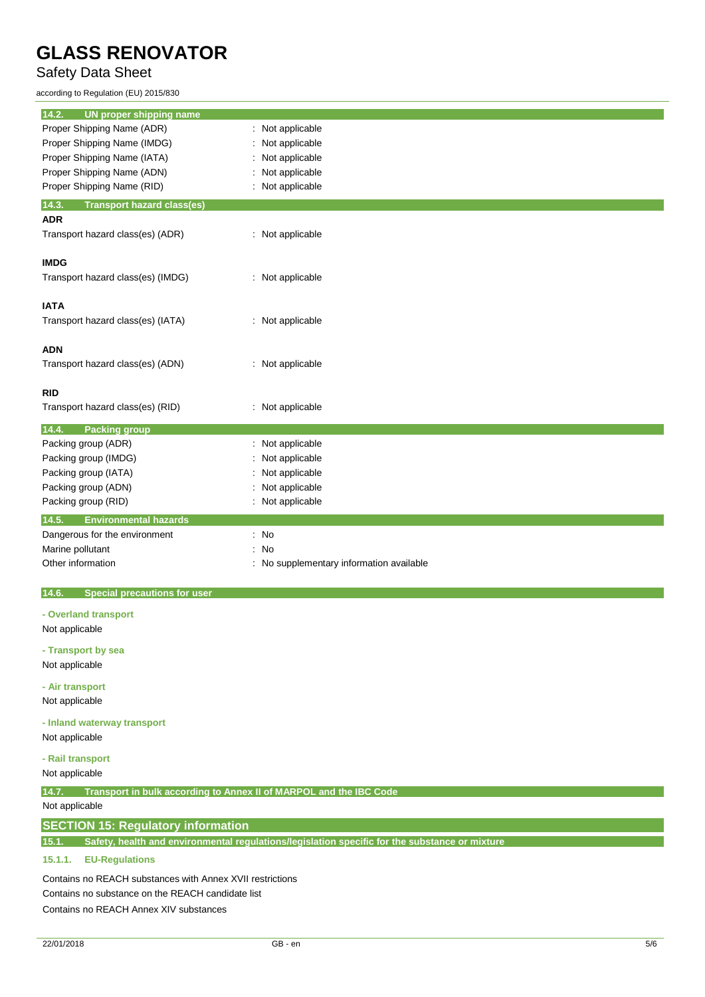### Safety Data Sheet

according to Regulation (EU) 2015/830

| <b>UN proper shipping name</b><br>14.2.      |                                        |
|----------------------------------------------|----------------------------------------|
| Proper Shipping Name (ADR)                   | Not applicable                         |
| Proper Shipping Name (IMDG)                  | Not applicable                         |
| Proper Shipping Name (IATA)                  | Not applicable                         |
| Proper Shipping Name (ADN)                   | Not applicable                         |
| Proper Shipping Name (RID)                   | : Not applicable                       |
| 14.3.<br><b>Transport hazard class(es)</b>   |                                        |
| <b>ADR</b>                                   |                                        |
| Transport hazard class(es) (ADR)             | : Not applicable                       |
| <b>IMDG</b>                                  |                                        |
| Transport hazard class(es) (IMDG)            | : Not applicable                       |
| <b>IATA</b>                                  |                                        |
| Transport hazard class(es) (IATA)            | : Not applicable                       |
| <b>ADN</b>                                   |                                        |
| Transport hazard class(es) (ADN)             | : Not applicable                       |
| <b>RID</b>                                   |                                        |
| Transport hazard class(es) (RID)             | : Not applicable                       |
| 14.4.<br><b>Packing group</b>                |                                        |
| Packing group (ADR)                          | : Not applicable                       |
| Packing group (IMDG)                         | Not applicable                         |
| Packing group (IATA)                         | Not applicable                         |
| Packing group (ADN)                          | Not applicable                         |
| Packing group (RID)                          | Not applicable                         |
| 14.5.<br><b>Environmental hazards</b>        |                                        |
| Dangerous for the environment                | $\therefore$ No                        |
| Marine pollutant                             | No<br>÷                                |
| Other information                            | No supplementary information available |
|                                              |                                        |
| 14.6.<br><b>Special precautions for user</b> |                                        |

**- Overland transport**

Not applicable

**- Transport by sea**

Not applicable

**- Air transport** Not applicable

**- Inland waterway transport**

Not applicable

### **- Rail transport**

Not applicable

**14.7. Transport in bulk according to Annex II of MARPOL and the IBC Code**

### Not applicable

### **SECTION 15: Regulatory information**

**15.1. Safety, health and environmental regulations/legislation specific for the substance or mixture**

### **15.1.1. EU-Regulations**

Contains no REACH substances with Annex XVII restrictions Contains no substance on the REACH candidate list Contains no REACH Annex XIV substances